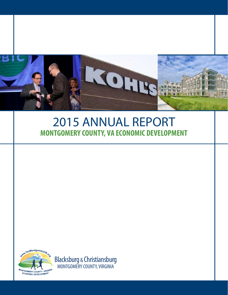

# **MONTGOMERY COUNTY, VA ECONOMIC DEVELOPMENT** 2015 ANNUAL REPORT



Blacksburg & Christiansburg MONTGOMERY COUNTY, VIRGINIA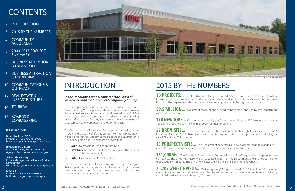The Montgomery County, VA, Department of Economic Development (MCDED) prepared this annual report to showcase the organization's activities and accomplishments during 2015. The report is also intended to be an economic development marketing tool for Montgomery County, and features the achievements of local companies, entrepreneurs and other key allies.

The Department of Economic Development is dedicated to improving the quality of life throughout Montgomery County – including the incorporated towns of Blacksburg and Christiansburg – by encouraging positive economic growth that:

**10 PROJECTS...** The Department actively supported nine company expansion projects where investment and jobs were added, and existing jobs were retrained through the Virginia Job Investment Program. The Department also supported one company locating in Montgomery County.

\$9.5 MILLION... Investment made or announced by projects supported by the Department exceeds \$9.5 million.

**Brian Hamilton, CEcD** Economic Development Director hamiltonbt@montgomerycountyva.gov

**170 NEW JOBS...** Companies assisted by the Department will create 170 new jobs, and retrain 110 existing jobs through the Virginia Jobs Investment Program.

**Brenda Rigney, CEcD** Project Manager, Existing Industry rigneybb@montgomerycountyva.gov

**52 BRE VISITS...** The Department visited 32 local companies through its Business Retention & Expansion Program (BRE). Twenty of the companies required follow up support services, bringing the total BRE visits to 52 for the year.

**Ashlyn Shrewsbury** Project Manager, Marketing and Business Development shrewsburyaj@montgomerycountyva.gov **15 PROSPECT VISITS...** The Department generated 38 new prospect leads, responded to 37 requests for information, and participated in 15 prospect visits by new businesses.

**Kim Hall** Economic Development Assistant hallkm@montgomerycountyva.gov



# <span id="page-1-0"></span>INTRODUCTION

131,000 SF... The Economic Development Authority leased 131,000 square-feet of space to three companies. The three new leases were negotiated in 2014 by the Department and all three companies took occupancy in 2015. The three new leases are worth \$8.3 million in total revenues.

# **CONTENTS**

- 2 | [INTRODUCTION](#page-1-0)
- 3 | [2015 BY THE NUMBERS](#page-1-1)
- **COMMUNITY** [ACCOLADES](#page-2-0) 4 |
- [2009-2015 PROJECT](#page-2-1)  [SUMMARY](#page-2-1) 5 |
- 6 | BUSINESS RETENTION [& EXPANSION](#page-3-0)
- 8 | BUSINESS ATTRACTION [& MARKETING](#page-4-0)
- 10 | COMMUNICATIONS & **[OUTREACH](#page-5-0)**
- [REAL ESTATE &](#page-6-0)  [INFRASTRUCTURE](#page-6-0) 12 |
- 14 | [TOURISM](#page-7-0)
- 15 | BOARDS & **[COMMISSIONS](#page-7-1)**

Photo Credit: TORC Robotic **The TORC Robotics building in the Blacksburg Industrial Park.**

**20,707 WEBSITE VISITS...** YesMontgomeryVA.org was visited 20,707 times from 130 countries around the world and from all of the states. The Department sent out 7 news releases, via email marketing and social media, that were viewed 5,575 times.

Our department accomplishes its mission through strategies that support the startup, retention and expansion of companies already in Montgomery County as well as the attraction of new targeted industries to the community.

- *• CREATES* meaningful career opportunities
- *EXPANDS* the commercial tax base to support the delivery of vital public services, and
- *• PROTECTS* our enviable quality of life

# <span id="page-1-1"></span>2015 BY THE NUMBERS

### *To the Honorable Chair, Members of the Board of Supervisors and the Citizens of Montgomery County:*

### **DEPARTMENT STAFF**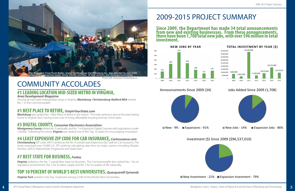# <span id="page-2-0"></span>COMMUNITY ACCOLADES

### **#1 LEADING LOCATION MID-SIZED METRO IN VIRGINIA,**  *Area Development Magazine*

**Blacksburg** was ranked No. 1 Best Place to Retire in the nation. This high ranking is due to the town being home to Virginia Tech, having a low cost of living, affordable housing and low crime rates.

Among all mid-sized metropolitan areas in Virginia, *Blacksburg- Christiansburg-Radford MSA* ranked No. 1 in the Commonwealth.

### **#1 BEST PLACE TO RETIRE,** *OnlyInYourState.com*

### **#3 DIGITAL COUNTY,** *Consumer Electronics Association*

*Montgomery County* ranked No. 3 nationally, and No. 1 in Virginia for Digital Counties with populations under 150,000. Following this trend, *Virginia* was ranked one of the Top 10 states for encouraging innovation.

## **#4 LEAST EXPENSIVE ZIP CODE FOR CAR INSURANCE,** *CarInsurance.com*

*Christiansburg* ZIP code 24073 ranked as the No. 4 overall Least Expensive Zip Code for Car Insurance. The study examined over 33,000 U.S. ZIP codes by calculating rates from six major carriers, including Allstate, Farmers, GEICO, Nationwide, Progressive and State Farm.

# **#7 BEST STATE FOR BUSINESS,** *Forbes*



*Virginia* ranked as the No. 7 overall Best State for Business. The Commonwealth also ranked No. 1 for its regulatory environment, No. 2 for its labor supply and No. 5 for its quality of life nationally.

# **TOP 10 PERCENT OF WORLD'S BEST UNIVERSITIES,** *Quacquarelli Symonds*

*Virginia Tech* ranked in the Top 10 percent among 3,500 of the World's Best Universities.

# <span id="page-2-1"></span>2009-2015 PROJECT SUMMARY

### **Since 2009, the Department has made 34 total announcements from new and existing businessses. From these announcements, there have been 1,708 total new jobs, with over \$96 million in total investment.**



### Announcements Since 2009 (34)



### Jobs Added Since 2009 (1,708)



 $\blacksquare$  New Jobs - 14%  $\blacksquare$  Expansion Jobs - 86%



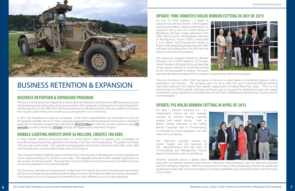On April 7, Polymer Solutions Inc. - an independent testing lab and strategic resource for polymer testing, materials analysis and metals testing - held its ribbon cutting ceremony at the Falling Branch Corporate Park in Christiansburg, to celebrate its recent expansion and new state-of-the-art facility.

The ceremony included remarks by Caitlyn Scaggs and Jim Rancourt of PSI. Representatives from the Town of Christiansburg and Montgomery County Board of Supervisors were in attendance.

"Polymer Solutions serves a global client base with our talented scientists and extensive laboratory instrumentation," said Jim Rancourt, Founder and CEO of Polymer Solutions. "With the construction of a state-of-the-art laboratory facility we will be well positioned to add staff, continue to expand our testing capabilities, and ultimately better meet the needs of our clients."

"Since its founding in 2005, TORC has grown to become a major leader in unmanned systems, vehicle automation and robotics. The company spun out of an idea CEO and Co-founder Michael Fleming had while working in the Virginia Tech robotics department," remarked Mary Rae Carter. "This is a true commitment on TORC's behalf, and their continued goal to increase the employment base and capital investment is truly a significant accomplishment for the town of Blacksburg, Montgomery County and the Commonwealth.<sup>"</sup>



**Auggedie termonstrations were held at Torc Robotic's ribbon cutting in July of 2015.** 

# <span id="page-3-0"></span>BUSINESS RETENTION & EXPANSION





### **HUBBLE LIGHTING INVESTS OVER \$6 MILLION, CREATES 100 JOBS**

### **UPDATE: TORC ROBOTICS HOLDS RIBBON CUTTING IN JULY OF 2015**

In May, Hubble Lighting announced plans to invest \$6.015 million to expand and consolidate its manufacturing and assembly operations at its facility in the Town of Christiansburg. This project will create 100 new jobs at the facility. This manufacturing operation has thrived in the New River Valley since 1963 with its production and assembly of high-value LED products.

On July 16, TORC Robotics - a leader in autonomous vehicle solutions - held its grand opening and ribbon cutting ceremony for its expansion into a new \$2.5 million facility in Blacksburg. Through a lease agreement with TORC, the Economic Development Authority of Montgomery County (EDA) constructed a \$2.5 million, 20,270-square-foot facility in Phase V of the Blacksburg Industrial Park. TORC will lease the building from the EDA with the option to purchase the property.

The ceremony included remarks by Michael Fleming, CEO of TORC Robotics; Dr. Timothy Sands, President of Virginia Tech; and Mary Rae Carter, Special Advisor for Rural Partnerships for the Commonwealth of Virginia. The event also featured demonstrations of the company's autonomous vehicle technologies.

### **UPDATE: PSI HOLDS RIBBON CUTTING IN APRIL OF 2015**

"We celebrate Hubble Lighting's great investment and 100 new jobs in Montgomery County," said Maurice Jones, Virginia Secretary of Commerce and Trade. "This capability provides further strategic significance to the location for future growth. The long-term success of Virginia's existing businesses is evidence of what can be accomplished in the Commonwealth."

The Economic Development Department worked with the Virginia Economic Development Partnership, the Town of Christiansburg and the New River Valley Economic Development Alliance to secure this project. The company will receive assistance and benefits from many different sources for this expansion.

The Economic Development Department uses its Business Retention and Expansion (BRE) program as a way of maintaining good relationships and communication with companies in Montgomery County. Department staff arrange face-to-face BRE visits with local businesses to identify and help solve any problems or barriers that may be undermining their overall success and growth in our community.

In 2015, the Department visited 32 companies, 20 of which required follow up information or services, bringing the total BRE visits to 52. Nine companies supported through the program announced or completed expansion or relocation projects that will result in *\$9.573 million* in total new private investment and *170 new jobs*, as well as retraining *110 jobs* through the Virginia Jobs Investment Program.

### **BUSINESS RETENTION & EXPANSION PROGRAM**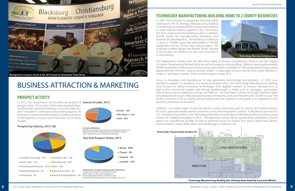In 2001, the Economic Development Authority (EDA) constructed the Technology Manufacturing Building in the Blacksburg Industrial Park to attract new industry or assist existing industry expand in the community. The EDA constructed the building to allow a modern, flexible facility for manufacturing, laboratory, and research and development. The building is located on 15 acres, is 109,000 square feet expandable to 190,000 square feet, and has 24 foot clear ceiling heights. The building's modern design and flexible facility assisted in the location of InMotion US and Luna Innovations to the building.

The Department worked with the New River Valley Economic Development Alliance and the Virginia Economic Development Partnership to secure both projects in this building. InMotion leases approximately 60,000 square feet of office and manufacturing space, while Luna leases 41,900 square feet through a lease agreement with the EDA. Luna is currently under a 10 year lease contract with the EDA, while InMotion is under a 7 year lease contract. Both contracts began in early 2015.

Luna is a developer and manufacturer of new generation technologies and products. In 2014, Luna decided to expand its operations in a newly renovated suite in the Technology Manufacturing Building. Luna focuses on taking innovative technologies from applied research to product development, as well as the commercial market, and driving breakthroughs in fields such as aerospace, automotive, telecommunications, healthcare, energy and defense. "We have been a tenant since 2007 and have been very pleased to be a part of Blacksburg's business community," said Luna President and CEO My Chung. "The facility continues to fill our needs, and we believe that this expansion will enable us to capitalize on the growth potential of our business."

In 2015, the Department and its allies generated 38 **Source of Leads, 2015** prospect leads. Thirty-seven of the leads required followup information (sites and buildings, community data, etc.) and 15 resulted in community visits by the prospects. At year end, 32 others were still actively considering projects in Montgomery County, and 4 had been successfully located.



InMotion is an Italian maker of parts for electric motors and builds parts for electric and hybrid vehicles, lift trucks, personal mobility devices, elevators, buses and refrigeration systems. It decided to open its first U.S. manufacturing facility in the Technology Manufacturing Building in Blacksburg after acquiring a local division of a Radford company in 2014. "Montgomery County has an outstanding combination of local talent and cost-effective facilities as well as improved access to Virginia Tech and its world-class electric vehicle research," stated Mike Jellen, General Manager of InMotion US.

### **PROSPECT ACTIVITY**

# <span id="page-4-0"></span>BUSINESS ATTRACTION & MARKETING

### **Prospect by Industry, 2015 (38)**





# **TECHNOLOGY MANUFACTURING BUILDING HOME TO 2 COUNTY BUSINESSES**



**Technology Manufacturing Building plan showing areas leased by Luna and InMotion.**



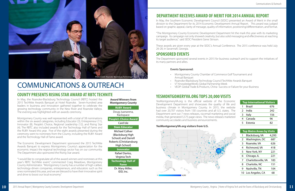### **COUNTY PRESENTS RISING STAR AWARD AT RBTC TECHNITE**

**Award Winners from Montgomery County**

In May, the Roanoke-Blacksburg Technology Council (RBTC) hosted the 2015 TechNite Awards Banquet at Hotel Roanoke. Seven-hundred area leaders in business and innovation gathered together to celebrate the growing technology community in the New River and Roanoke Valleys. The evening was highlighted with an awards ceremony.

Montgomery County was well represented with a total of 38 nominations within the six award categories, including Educator (3), Entrepreneur (11), Innovator (8), People's Choice, Regional Leadership (12), and Rising Star (4). The RBTC also included awards for the Technology Hall of Fame and the RUBY Award this year. Five of the eight awards presented during the ceremony went to nominees from the County, including the RUBY Award and the Technology Hall of Fame award.

The Economic Development Department sponsored the 2015 TechNite Awards Banquet to express Montgomery County's appreciation for the economic impact the regional technology sector has on our community. The Department also sponsored the Rising Star award.

"I would like to congratulate all of the award winners and nominees at this year's RBTC TechNite event," commented Craig Meadows, Montgomery County Administrator. "Montgomery County has a number of high-caliber, technology-driven companies, entrepreneurs, and educators such as the ones nominated this year, and we are blessed to have their innovative spirit and drive to boost our local economy."

**RUBY Award** Doug Juanarena, Rackspace **People's Choice Award** Card Isle **Stem Educator** Michael Collver (Blacksburg High School) and Darrell Roberts (Christiansburg High School) **Innovator** Rafael Davlos, Virginia Tech **Technology Hall of Fame** Dr. Mary Miller, IDD, Inc.



| <b>Top Metro Areas by Visits</b> |                     |       |  |  |  |
|----------------------------------|---------------------|-------|--|--|--|
| 1                                | Blacksburg, VA      | 4,293 |  |  |  |
| 2                                | Washington, DC      | 687   |  |  |  |
| 3                                | Roanoke, VA         | 626   |  |  |  |
| 4                                | Richmond, VA        | 418   |  |  |  |
| 5                                | New York, NY        | 221   |  |  |  |
| 6                                | Chicago, IL         | 221   |  |  |  |
| 7                                | Charlottesville, VA | 183   |  |  |  |
| 8                                | Charlotte, NC       | 151   |  |  |  |
| 9                                | Nashville, TN       | 104   |  |  |  |
| 10                               | Los Angeles, CA     | 68    |  |  |  |

#### **YesMontgomeryVA.org visitors from U.S.**



# **YESMONTGOMERYVA.ORG TOPS 20,000 VISITS**

| <b>Top International Visitors</b> |         |     |  |  |
|-----------------------------------|---------|-----|--|--|
|                                   | Brazil  | 676 |  |  |
| $\mathcal{P}$                     | India   | 242 |  |  |
| 3                                 | Italy   | 156 |  |  |
| 4                                 | Canada  | 96  |  |  |
| 5                                 | Estonia | 82  |  |  |
|                                   |         |     |  |  |

YesMontgomeryVA.org is the official website of the Economic Development Department and showcases the quality of life and business climate in Montgomery County. In 2015, the website had over 20,707 visitors from 130 countries and all U.S. states. The Department sent out 7 news releases, via email marketing and social media, that generated 5,575 page views. The news releases marketed community accolades and business announcements.

## **DEPARTMENT RECEIVES AWARD OF MERIT FOR 2014 ANNUAL REPORT**

In May, the Southern Economic Development Council (SEDC) presented an Award of Merit in the small division to the Department for its 2014 Economic Development Annual Report. This award was judged based on graphic appeal, clarity of message, quality of information, positioning/differentiation, and format.

"The Montgomery County Economic Development Department hit the mark this year with its marketing campaign. Its campaign not only showed creativity, but also solid messaging and effectiveness at reaching its target audience," said SEDC President Gene Stinson.

These awards are given every year at the SEDC's Annual Conference. The 2015 conference was held July 26-28, in Savannah, Georgia.

# <span id="page-5-0"></span>COMMUNICATIONS & OUTREACH

#### **Events Sponsored:**

- Montgomery County Chamber of Commerce Golf Tournament and Annual Banquet
- Roanoke-Blacksburg Technology Council TechNite Awards Banquet
- VT KnowledgeWorks Global Partnership Week
- 

• VEDP: Global Trade & Products, China- Success or Failure for your Business

### **SPONSORED EVENTS**

The Department sponsored several events in 2015 for business outreach and to support the initiatives of its many partners and allies.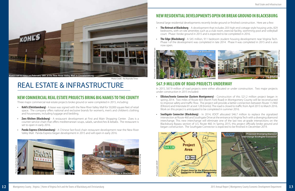Photo Credit: The Roanoke Times

# <span id="page-6-0"></span>REAL ESTATE & INFRASTRUCTURE 567.9 MILLION OF ROAD PROJECTS UNDERWAY

• **The Retreat at Blacksburg** - A development that includes 203 high-end cottage-style housing units, 829 bedrooms, with on-site amenities such as a club room, exercise facility, swimming pool and volleyball

Several large residential developments recently broke ground or finished construction. Here are a few:

**The Edge (Blacksburg)** - A \$45 million, 911 bedroom student housing development near Virginia Tech. Phase I of the development was completed in late 2014. Phase II was completed in 2015 and is also

- court. Phase I broke ground in 2015 and is expected to be completed in 2016.
- now open.

**Elliston/Ironto Connector (Eastern Montgomery)** - Construction of this \$21.2 million project began in spring 2014. Two miles of Route 603 (North Fork Road) in Montgomery County will be reconstructed to improve safety and traffic flow. The project will provide a better connection between Route 11/460 (Elliston) and Interstate 81 at exit 128 (Ironto). The road is closed to traffic from April 2015 to March 2016.

In 2015, \$67.9 million of road projects were either allocated or under construction. Two major projects under construction in 2015 included:

**Southgate Connector (Blacksburg)** - In 2014, VDOT allocated \$46.7 million to replace the signalized intersection at Route 460 and Southgate Drive at the entrance to Virginia Tech with a diverging diamond interchange. This new interchange will eliminate one of the last two at-grade intersections on the Blacksburg Bypass section of U.S. Route 460. In Spring 2015, this project officially broke ground and

- Work on this project is anticipated to be completed in summer 2016.
- began construction. The Southgate Connector is expected to be finished in December 2019.

### **NEW COMMERCIAL REAL ESTATE PROJECTS BRING BIG NAMES TO THE COUNTY**

## **NEW RESIDENTIAL DEVELOPMENTS OPEN OR BREAK GROUND IN BLACKSBURG**



Three major commercial real estate projects broke ground or were completed in 2015, including:



- **• Kohl's (Christiansburg)**  A lease was signed with the New RIver Valley Mall for 50,000 square feet of retail space. The company offers national and exclusive brands for women's, men's and children's clothing and housewares, including luggage and bedding.
- *•* **Zoes Kitchen (Blacksburg)** A restaurant development at First and Main Shopping Center. Zoes is a counter-service chain that offers mediterranean soups, salads, sandwiches & kebabs. The restaurant is set to open in early 2016.
- **Panda Express (Christiansburg)** A Chinese fast-food chain restaurant development near the New River Valley Mall. Panda Express began development in 2015 and will open in early 2016.



**Kohl's set to open on February 28th at the New River Valley Mall in Christiansburg.**







Photo Credit: vtcampusedge.com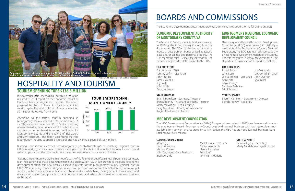The Montgomery Regional Economic Development Commission (EDC) was created in 1982 by a resolution of the Montgomery County Board of Supervisors. The EDC acts in an advisory capacity on economic development matters for the County. It meets the fourth Thursday of every month. The Department provides staff support to the EDC.

### **EDC DIRECTORS**

Patrick Bixler John Bush Joe Carpenter - Vice Chair John Overton Ann Carter Angie Covey Matthew Gabriele Eric Johnsen

#### **STAFF SUPPORT**

Brian T. Hamilton – Department Director Brenda Rigney – Secretary

### **MBC DEVELOPMENT CORPORATION**

The MBC Development Corporation is a 501(c) 3 organization created in 1985 to enhance and broaden the employment base in Montgomery County by providing small business with low interest loans not available from conventional sources. Since its creation, the MBC has provided 32 small business loans totaling over \$1.4 million.

| Mary Biggs                     |
|--------------------------------|
| Terry Brizendine               |
| Michael Cooke                  |
| John Cusimano - Vice President |
| <b>Brad Denardo</b>            |

#### **COMMISSION MEMBERS: STAFF SUPPORT:**

The Economic Development Authority was created in 1970 by the Montgomery County Board of Supervisors. The EDA has the authority to issue industrial development bonds as well as acquire, lease and/or sell real and personal property. The EDA meets the third Tuesday of every month. The Department provides staff support to the EDA.

#### **EDA DIRECTORS**

Eric Johnsen – Chair Tommy Loflin – Vice Chair John Phillips James Taylor III Ray Tuck John Tuttle Doug Winstead

#### **STAFF SUPPORT**

Brian T. Hamilton – Secretary/Treasurer Brenda Rigney – Assistant Secretary/Treasurer Marty McMahon – Legal Counsel Craig Meadows – County Administrator Angie Hill – Finance Director

### **ECONOMIC DEVELOPMENT AUTHORITY OF MONTGOMERY COUNTY, VA**

### **MONTGOMERY REGIONAL ECONOMIC DEVELOPMENT COUNCIL**

Mark Hamric - Treasurer Cecile Newcomb Henry Showalter Fritz Streff Tom Via - President

# <span id="page-7-1"></span>BOARDS AND COMMISSIONS

The Economic Development Department provides administrative support to the following entities:

# <span id="page-7-0"></span>HOSPITALITY AND TOURISM **TOURISM SPENDING TOPS \$136.3 MILLION**

Joe Meredith Michael Miller – Chair Shaun Rai

Brenda Rigney – Secretary Marty McMahon – Legal Counsel

In September 2015, the Virginia Tourism Corporation released its 2014 report on the Economic Impact of Domestic Travel on Virginia and Localities. The report, prepared by the U.S. Travel Association, examined tourism spending in Virginia by U.S. visitors traveling 50 miles or more away from home.

According to the report, tourism spending in Montgomery County reached \$136.3 million in 2014 - a 2.8 percent increase over 2013. Visitor spending was estimated to have generated \$8.1 million in local tax revenue in combined state and local taxes for Montgomery County and the towns of Blacksburg and Christiansburg. The report also found that the

local tourism industry supported 1,330 jobs and had an annual payroll of \$25.4 million.

Building upon recent successes, the Montgomery County/Blacksburg/Christiansburg Regional Tourism Office is working on initiatives to create more year-round visitation. It launched the new tourism brand aimed at promoting the community as a travel destination to attract a variety of visitors.

"Raising the community's profile, in terms of quality of life for employees of existing and potential businesses, is an increasing value that a destination marketing organization (DMO) can provide to the overall economic development effort," said Lisa Bleakley, Executive Director of the Montgomery County Regional Tourism Office. "Visitors bring new spending to our area and produce tax revenue that helps to pay for municipal services, without any additional burden on these services. While here, the enjoyment of area assets and environments often prompts a thought or decision to expand existing businesses or locate new business to the area."



**TOURISM SPENDING, MONTGOMERY COUNTY**



**spring to showcase local and regional wineries, artists and restaurants.**

#### **Righting Fork and Cork Facebook**